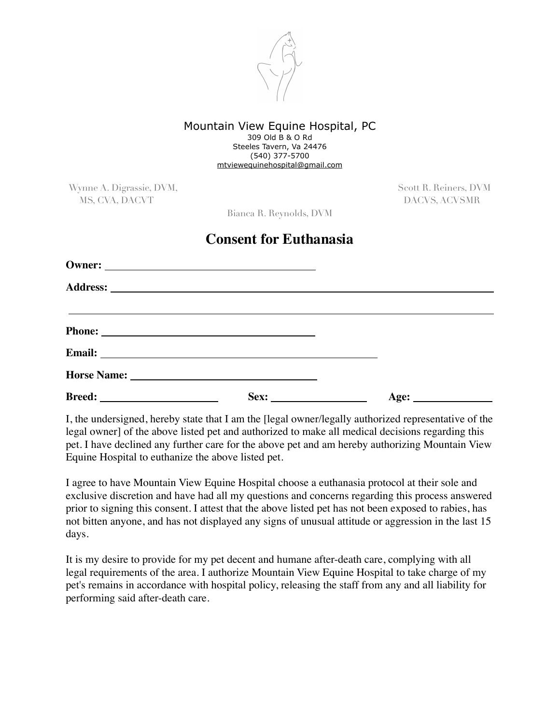

## Mountain View Equine Hospital, PC 309 Old B & O Rd Steeles Tavern, Va 24476 (540) 377-5700 [mtviewequinehospital@gmail.com](mailto:mtviewequinehospital@gmail.com)

Wynne A. Digrassie, DVM, Scott R. Reiners, DVM, Scott R. Reiners, DVM MS, CVA, DACVT DACVS, ACVSMR

Bianca R. Reynolds, DVM

## **Consent for Euthanasia**

| Email: <u>Alexander and Alexander and Alexander and Alexander and Alexander and Alexander and Alexander and Alexander and Alexander and Alexander and Alexander and Alexander and Alexander and Alexander and Alexander and Alex</u> |      |
|--------------------------------------------------------------------------------------------------------------------------------------------------------------------------------------------------------------------------------------|------|
|                                                                                                                                                                                                                                      |      |
|                                                                                                                                                                                                                                      | Age: |

I, the undersigned, hereby state that I am the [legal owner/legally authorized representative of the legal owner] of the above listed pet and authorized to make all medical decisions regarding this pet. I have declined any further care for the above pet and am hereby authorizing Mountain View Equine Hospital to euthanize the above listed pet.

I agree to have Mountain View Equine Hospital choose a euthanasia protocol at their sole and exclusive discretion and have had all my questions and concerns regarding this process answered prior to signing this consent. I attest that the above listed pet has not been exposed to rabies, has not bitten anyone, and has not displayed any signs of unusual attitude or aggression in the last 15 days.

It is my desire to provide for my pet decent and humane after-death care, complying with all legal requirements of the area. I authorize Mountain View Equine Hospital to take charge of my pet's remains in accordance with hospital policy, releasing the staff from any and all liability for performing said after-death care.